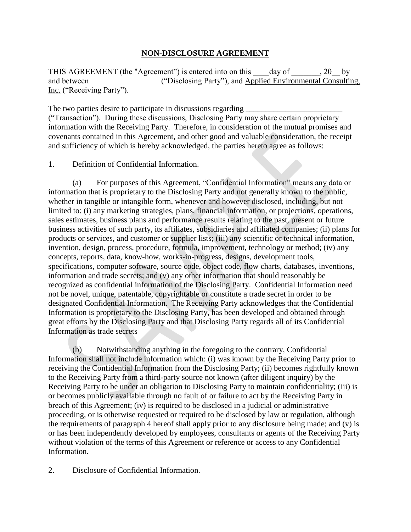# **NON-DISCLOSURE AGREEMENT**

THIS AGREEMENT (the "Agreement") is entered into on this  $\qquad$  day of  $\qquad$ , 20 by and between ("Disclosing Party"), and Applied Environmental Consulting, Inc. ("Receiving Party").

The two parties desire to participate in discussions regarding ("Transaction"). During these discussions, Disclosing Party may share certain proprietary information with the Receiving Party. Therefore, in consideration of the mutual promises and covenants contained in this Agreement, and other good and valuable consideration, the receipt and sufficiency of which is hereby acknowledged, the parties hereto agree as follows:

1. Definition of Confidential Information.

(a) For purposes of this Agreement, "Confidential Information" means any data or information that is proprietary to the Disclosing Party and not generally known to the public, whether in tangible or intangible form, whenever and however disclosed, including, but not limited to: (i) any marketing strategies, plans, financial information, or projections, operations, sales estimates, business plans and performance results relating to the past, present or future business activities of such party, its affiliates, subsidiaries and affiliated companies; (ii) plans for products or services, and customer or supplier lists; (iii) any scientific or technical information, invention, design, process, procedure, formula, improvement, technology or method; (iv) any concepts, reports, data, know-how, works-in-progress, designs, development tools, specifications, computer software, source code, object code, flow charts, databases, inventions, information and trade secrets; and (v) any other information that should reasonably be recognized as confidential information of the Disclosing Party. Confidential Information need not be novel, unique, patentable, copyrightable or constitute a trade secret in order to be designated Confidential Information. The Receiving Party acknowledges that the Confidential Information is proprietary to the Disclosing Party, has been developed and obtained through great efforts by the Disclosing Party and that Disclosing Party regards all of its Confidential Information as trade secrets

(b) Notwithstanding anything in the foregoing to the contrary, Confidential Information shall not include information which: (i) was known by the Receiving Party prior to receiving the Confidential Information from the Disclosing Party; (ii) becomes rightfully known to the Receiving Party from a third-party source not known (after diligent inquiry) by the Receiving Party to be under an obligation to Disclosing Party to maintain confidentiality; (iii) is or becomes publicly available through no fault of or failure to act by the Receiving Party in breach of this Agreement; (iv) is required to be disclosed in a judicial or administrative proceeding, or is otherwise requested or required to be disclosed by law or regulation, although the requirements of paragraph 4 hereof shall apply prior to any disclosure being made; and (v) is or has been independently developed by employees, consultants or agents of the Receiving Party without violation of the terms of this Agreement or reference or access to any Confidential Information.

2. Disclosure of Confidential Information.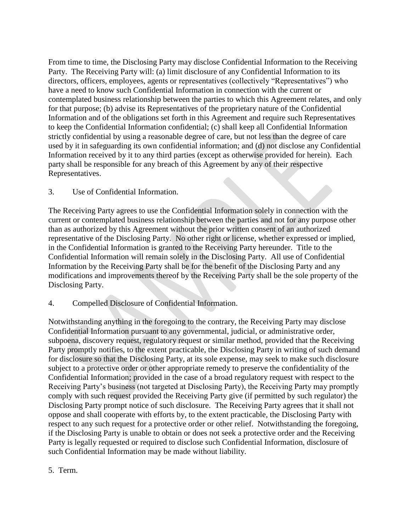From time to time, the Disclosing Party may disclose Confidential Information to the Receiving Party. The Receiving Party will: (a) limit disclosure of any Confidential Information to its directors, officers, employees, agents or representatives (collectively "Representatives") who have a need to know such Confidential Information in connection with the current or contemplated business relationship between the parties to which this Agreement relates, and only for that purpose; (b) advise its Representatives of the proprietary nature of the Confidential Information and of the obligations set forth in this Agreement and require such Representatives to keep the Confidential Information confidential; (c) shall keep all Confidential Information strictly confidential by using a reasonable degree of care, but not less than the degree of care used by it in safeguarding its own confidential information; and (d) not disclose any Confidential Information received by it to any third parties (except as otherwise provided for herein). Each party shall be responsible for any breach of this Agreement by any of their respective Representatives.

# 3. Use of Confidential Information.

The Receiving Party agrees to use the Confidential Information solely in connection with the current or contemplated business relationship between the parties and not for any purpose other than as authorized by this Agreement without the prior written consent of an authorized representative of the Disclosing Party. No other right or license, whether expressed or implied, in the Confidential Information is granted to the Receiving Party hereunder. Title to the Confidential Information will remain solely in the Disclosing Party. All use of Confidential Information by the Receiving Party shall be for the benefit of the Disclosing Party and any modifications and improvements thereof by the Receiving Party shall be the sole property of the Disclosing Party.

# 4. Compelled Disclosure of Confidential Information.

Notwithstanding anything in the foregoing to the contrary, the Receiving Party may disclose Confidential Information pursuant to any governmental, judicial, or administrative order, subpoena, discovery request, regulatory request or similar method, provided that the Receiving Party promptly notifies, to the extent practicable, the Disclosing Party in writing of such demand for disclosure so that the Disclosing Party, at its sole expense, may seek to make such disclosure subject to a protective order or other appropriate remedy to preserve the confidentiality of the Confidential Information; provided in the case of a broad regulatory request with respect to the Receiving Party's business (not targeted at Disclosing Party), the Receiving Party may promptly comply with such request provided the Receiving Party give (if permitted by such regulator) the Disclosing Party prompt notice of such disclosure. The Receiving Party agrees that it shall not oppose and shall cooperate with efforts by, to the extent practicable, the Disclosing Party with respect to any such request for a protective order or other relief. Notwithstanding the foregoing, if the Disclosing Party is unable to obtain or does not seek a protective order and the Receiving Party is legally requested or required to disclose such Confidential Information, disclosure of such Confidential Information may be made without liability.

5. Term.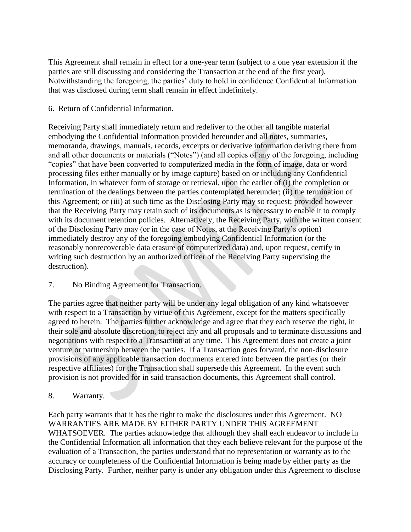This Agreement shall remain in effect for a one-year term (subject to a one year extension if the parties are still discussing and considering the Transaction at the end of the first year). Notwithstanding the foregoing, the parties' duty to hold in confidence Confidential Information that was disclosed during term shall remain in effect indefinitely.

### 6. Return of Confidential Information.

Receiving Party shall immediately return and redeliver to the other all tangible material embodying the Confidential Information provided hereunder and all notes, summaries, memoranda, drawings, manuals, records, excerpts or derivative information deriving there from and all other documents or materials ("Notes") (and all copies of any of the foregoing, including "copies" that have been converted to computerized media in the form of image, data or word processing files either manually or by image capture) based on or including any Confidential Information, in whatever form of storage or retrieval, upon the earlier of (i) the completion or termination of the dealings between the parties contemplated hereunder; (ii) the termination of this Agreement; or (iii) at such time as the Disclosing Party may so request; provided however that the Receiving Party may retain such of its documents as is necessary to enable it to comply with its document retention policies. Alternatively, the Receiving Party, with the written consent of the Disclosing Party may (or in the case of Notes, at the Receiving Party's option) immediately destroy any of the foregoing embodying Confidential Information (or the reasonably nonrecoverable data erasure of computerized data) and, upon request, certify in writing such destruction by an authorized officer of the Receiving Party supervising the destruction).

# 7. No Binding Agreement for Transaction.

The parties agree that neither party will be under any legal obligation of any kind whatsoever with respect to a Transaction by virtue of this Agreement, except for the matters specifically agreed to herein. The parties further acknowledge and agree that they each reserve the right, in their sole and absolute discretion, to reject any and all proposals and to terminate discussions and negotiations with respect to a Transaction at any time. This Agreement does not create a joint venture or partnership between the parties. If a Transaction goes forward, the non-disclosure provisions of any applicable transaction documents entered into between the parties (or their respective affiliates) for the Transaction shall supersede this Agreement. In the event such provision is not provided for in said transaction documents, this Agreement shall control.

#### 8. Warranty.

Each party warrants that it has the right to make the disclosures under this Agreement. NO WARRANTIES ARE MADE BY EITHER PARTY UNDER THIS AGREEMENT WHATSOEVER. The parties acknowledge that although they shall each endeavor to include in the Confidential Information all information that they each believe relevant for the purpose of the evaluation of a Transaction, the parties understand that no representation or warranty as to the accuracy or completeness of the Confidential Information is being made by either party as the Disclosing Party. Further, neither party is under any obligation under this Agreement to disclose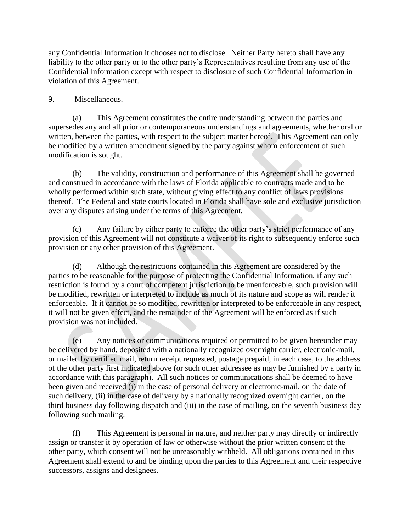any Confidential Information it chooses not to disclose. Neither Party hereto shall have any liability to the other party or to the other party's Representatives resulting from any use of the Confidential Information except with respect to disclosure of such Confidential Information in violation of this Agreement.

# 9. Miscellaneous.

(a) This Agreement constitutes the entire understanding between the parties and supersedes any and all prior or contemporaneous understandings and agreements, whether oral or written, between the parties, with respect to the subject matter hereof. This Agreement can only be modified by a written amendment signed by the party against whom enforcement of such modification is sought.

(b) The validity, construction and performance of this Agreement shall be governed and construed in accordance with the laws of Florida applicable to contracts made and to be wholly performed within such state, without giving effect to any conflict of laws provisions thereof. The Federal and state courts located in Florida shall have sole and exclusive jurisdiction over any disputes arising under the terms of this Agreement.

(c) Any failure by either party to enforce the other party's strict performance of any provision of this Agreement will not constitute a waiver of its right to subsequently enforce such provision or any other provision of this Agreement.

(d) Although the restrictions contained in this Agreement are considered by the parties to be reasonable for the purpose of protecting the Confidential Information, if any such restriction is found by a court of competent jurisdiction to be unenforceable, such provision will be modified, rewritten or interpreted to include as much of its nature and scope as will render it enforceable. If it cannot be so modified, rewritten or interpreted to be enforceable in any respect, it will not be given effect, and the remainder of the Agreement will be enforced as if such provision was not included.

(e) Any notices or communications required or permitted to be given hereunder may be delivered by hand, deposited with a nationally recognized overnight carrier, electronic-mail, or mailed by certified mail, return receipt requested, postage prepaid, in each case, to the address of the other party first indicated above (or such other addressee as may be furnished by a party in accordance with this paragraph). All such notices or communications shall be deemed to have been given and received (i) in the case of personal delivery or electronic-mail, on the date of such delivery, (ii) in the case of delivery by a nationally recognized overnight carrier, on the third business day following dispatch and (iii) in the case of mailing, on the seventh business day following such mailing.

(f) This Agreement is personal in nature, and neither party may directly or indirectly assign or transfer it by operation of law or otherwise without the prior written consent of the other party, which consent will not be unreasonably withheld. All obligations contained in this Agreement shall extend to and be binding upon the parties to this Agreement and their respective successors, assigns and designees.